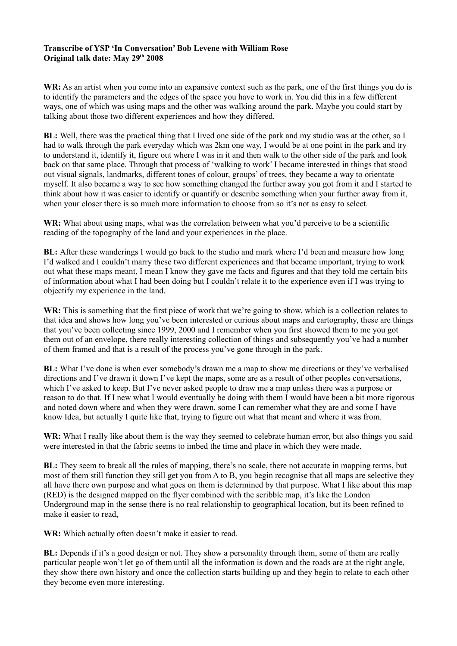## **Transcribe of YSP 'In Conversation' Bob Levene with William Rose Original talk date: May 29th 2008**

**WR:** As an artist when you come into an expansive context such as the park, one of the first things you do is to identify the parameters and the edges of the space you have to work in. You did this in a few different ways, one of which was using maps and the other was walking around the park. Maybe you could start by talking about those two different experiences and how they differed.

**BL:** Well, there was the practical thing that I lived one side of the park and my studio was at the other, so I had to walk through the park everyday which was 2km one way, I would be at one point in the park and try to understand it, identify it, figure out where I was in it and then walk to the other side of the park and look back on that same place. Through that process of 'walking to work' I became interested in things that stood out visual signals, landmarks, different tones of colour, groups' of trees, they became a way to orientate myself. It also became a way to see how something changed the further away you got from it and I started to think about how it was easier to identify or quantify or describe something when your further away from it, when your closer there is so much more information to choose from so it's not as easy to select.

WR: What about using maps, what was the correlation between what you'd perceive to be a scientific reading of the topography of the land and your experiences in the place.

**BL:** After these wanderings I would go back to the studio and mark where I'd been and measure how long I'd walked and I couldn't marry these two different experiences and that became important, trying to work out what these maps meant, I mean I know they gave me facts and figures and that they told me certain bits of information about what I had been doing but I couldn't relate it to the experience even if I was trying to objectify my experience in the land.

WR: This is something that the first piece of work that we're going to show, which is a collection relates to that idea and shows how long you've been interested or curious about maps and cartography, these are things that you've been collecting since 1999, 2000 and I remember when you first showed them to me you got them out of an envelope, there really interesting collection of things and subsequently you've had a number of them framed and that is a result of the process you've gone through in the park.

**BL:** What I've done is when ever somebody's drawn me a map to show me directions or they've verbalised directions and I've drawn it down I've kept the maps, some are as a result of other peoples conversations, which I've asked to keep. But I've never asked people to draw me a map unless there was a purpose or reason to do that. If I new what I would eventually be doing with them I would have been a bit more rigorous and noted down where and when they were drawn, some I can remember what they are and some I have know Idea, but actually I quite like that, trying to figure out what that meant and where it was from.

WR: What I really like about them is the way they seemed to celebrate human error, but also things you said were interested in that the fabric seems to imbed the time and place in which they were made.

**BL:** They seem to break all the rules of mapping, there's no scale, there not accurate in mapping terms, but most of them still function they still get you from A to B, you begin recognise that all maps are selective they all have there own purpose and what goes on them is determined by that purpose. What I like about this map (RED) is the designed mapped on the flyer combined with the scribble map, it's like the London Underground map in the sense there is no real relationship to geographical location, but its been refined to make it easier to read,

**WR:** Which actually often doesn't make it easier to read.

**BL:** Depends if it's a good design or not. They show a personality through them, some of them are really particular people won't let go of them until all the information is down and the roads are at the right angle, they show there own history and once the collection starts building up and they begin to relate to each other they become even more interesting.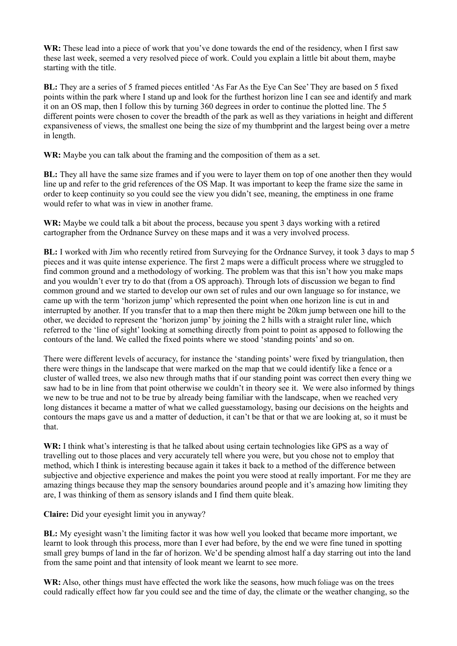**WR:** These lead into a piece of work that you've done towards the end of the residency, when I first saw these last week, seemed a very resolved piece of work. Could you explain a little bit about them, maybe starting with the title.

**BL:** They are a series of 5 framed pieces entitled 'As Far As the Eye Can See' They are based on 5 fixed points within the park where I stand up and look for the furthest horizon line I can see and identify and mark it on an OS map, then I follow this by turning 360 degrees in order to continue the plotted line. The 5 different points were chosen to cover the breadth of the park as well as they variations in height and different expansiveness of views, the smallest one being the size of my thumbprint and the largest being over a metre in length.

**WR:** Maybe you can talk about the framing and the composition of them as a set.

**BL:** They all have the same size frames and if you were to layer them on top of one another then they would line up and refer to the grid references of the OS Map. It was important to keep the frame size the same in order to keep continuity so you could see the view you didn't see, meaning, the emptiness in one frame would refer to what was in view in another frame.

**WR:** Maybe we could talk a bit about the process, because you spent 3 days working with a retired cartographer from the Ordnance Survey on these maps and it was a very involved process.

**BL:** I worked with Jim who recently retired from Surveying for the Ordnance Survey, it took 3 days to map 5 pieces and it was quite intense experience. The first 2 maps were a difficult process where we struggled to find common ground and a methodology of working. The problem was that this isn't how you make maps and you wouldn't ever try to do that (from a OS approach). Through lots of discussion we began to find common ground and we started to develop our own set of rules and our own language so for instance, we came up with the term 'horizon jump' which represented the point when one horizon line is cut in and interrupted by another. If you transfer that to a map then there might be 20km jump between one hill to the other, we decided to represent the 'horizon jump' by joining the 2 hills with a straight ruler line, which referred to the 'line of sight' looking at something directly from point to point as apposed to following the contours of the land. We called the fixed points where we stood 'standing points' and so on.

There were different levels of accuracy, for instance the 'standing points' were fixed by triangulation, then there were things in the landscape that were marked on the map that we could identify like a fence or a cluster of walled trees, we also new through maths that if our standing point was correct then every thing we saw had to be in line from that point otherwise we couldn't in theory see it. We were also informed by things we new to be true and not to be true by already being familiar with the landscape, when we reached very long distances it became a matter of what we called guesstamology, basing our decisions on the heights and contours the maps gave us and a matter of deduction, it can't be that or that we are looking at, so it must be that.

**WR:** I think what's interesting is that he talked about using certain technologies like GPS as a way of travelling out to those places and very accurately tell where you were, but you chose not to employ that method, which I think is interesting because again it takes it back to a method of the difference between subjective and objective experience and makes the point you were stood at really important. For me they are amazing things because they map the sensory boundaries around people and it's amazing how limiting they are, I was thinking of them as sensory islands and I find them quite bleak.

**Claire:** Did your eyesight limit you in anyway?

**BL:** My eyesight wasn't the limiting factor it was how well you looked that became more important, we learnt to look through this process, more than I ever had before, by the end we were fine tuned in spotting small grey bumps of land in the far of horizon. We'd be spending almost half a day starring out into the land from the same point and that intensity of look meant we learnt to see more.

WR: Also, other things must have effected the work like the seasons, how much foliage was on the trees could radically effect how far you could see and the time of day, the climate or the weather changing, so the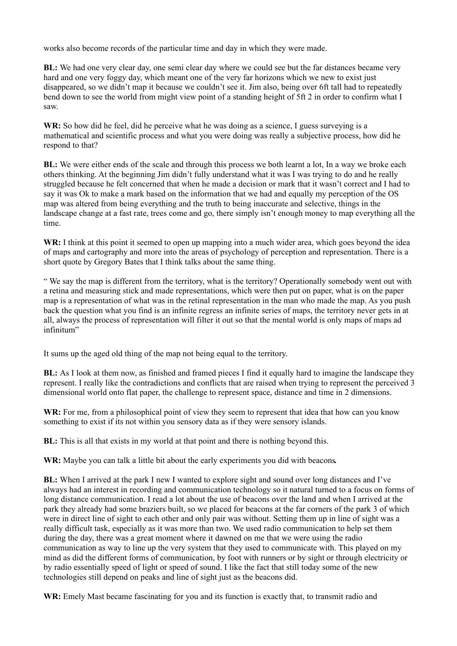works also become records of the particular time and day in which they were made.

**BL:** We had one very clear day, one semi clear day where we could see but the far distances became very hard and one very foggy day, which meant one of the very far horizons which we new to exist just disappeared, so we didn't map it because we couldn't see it. Jim also, being over 6ft tall had to repeatedly bend down to see the world from might view point of a standing height of 5ft 2 in order to confirm what I saw.

**WR:** So how did he feel, did he perceive what he was doing as a science, I guess surveying is a mathematical and scientific process and what you were doing was really a subjective process, how did he respond to that?

**BL:** We were either ends of the scale and through this process we both learnt a lot, In a way we broke each others thinking. At the beginning Jim didn't fully understand what it was I was trying to do and he really struggled because he felt concerned that when he made a decision or mark that it wasn't correct and I had to say it was Ok to make a mark based on the information that we had and equally my perception of the OS map was altered from being everything and the truth to being inaccurate and selective, things in the landscape change at a fast rate, trees come and go, there simply isn't enough money to map everything all the time.

**WR:** I think at this point it seemed to open up mapping into a much wider area, which goes beyond the idea of maps and cartography and more into the areas of psychology of perception and representation. There is a short quote by Gregory Bates that I think talks about the same thing.

" We say the map is different from the territory, what is the territory? Operationally somebody went out with a retina and measuring stick and made representations, which were then put on paper, what is on the paper map is a representation of what was in the retinal representation in the man who made the map. As you push back the question what you find is an infinite regress an infinite series of maps, the territory never gets in at all, always the process of representation will filter it out so that the mental world is only maps of maps ad infinitum"

It sums up the aged old thing of the map not being equal to the territory.

**BL:** As I look at them now, as finished and framed pieces I find it equally hard to imagine the landscape they represent. I really like the contradictions and conflicts that are raised when trying to represent the perceived 3 dimensional world onto flat paper, the challenge to represent space, distance and time in 2 dimensions.

WR: For me, from a philosophical point of view they seem to represent that idea that how can you know something to exist if its not within you sensory data as if they were sensory islands.

**BL:** This is all that exists in my world at that point and there is nothing beyond this.

**WR:** Maybe you can talk a little bit about the early experiments you did with beacons**.** 

**BL:** When I arrived at the park I new I wanted to explore sight and sound over long distances and I've always had an interest in recording and communication technology so it natural turned to a focus on forms of long distance communication. I read a lot about the use of beacons over the land and when I arrived at the park they already had some braziers built, so we placed for beacons at the far corners of the park 3 of which were in direct line of sight to each other and only pair was without. Setting them up in line of sight was a really difficult task, especially as it was more than two. We used radio communication to help set them during the day, there was a great moment where it dawned on me that we were using the radio communication as way to line up the very system that they used to communicate with. This played on my mind as did the different forms of communication, by foot with runners or by sight or through electricity or by radio essentially speed of light or speed of sound. I like the fact that still today some of the new technologies still depend on peaks and line of sight just as the beacons did.

**WR:** Emely Mast became fascinating for you and its function is exactly that, to transmit radio and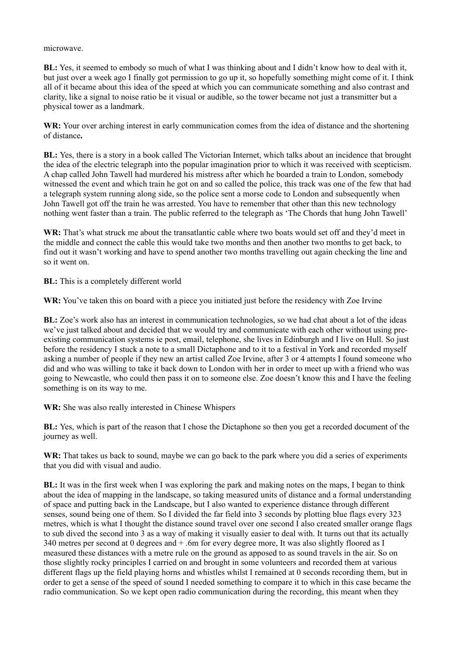## microwave.

**BL:** Yes, it seemed to embody so much of what I was thinking about and I didn't know how to deal with it, but just over a week ago I finally got permission to go up it, so hopefully something might come of it. I think all of it became about this idea of the speed at which you can communicate something and also contrast and clarity, like a signal to noise ratio be it visual or audible, so the tower became not just a transmitter but a physical tower as a landmark.

**WR:** Your over arching interest in early communication comes from the idea of distance and the shortening of distance**.** 

**BL:** Yes, there is a story in a book called The Victorian Internet, which talks about an incidence that brought the idea of the electric telegraph into the popular imagination prior to which it was received with scepticism. A chap called John Tawell had murdered his mistress after which he boarded a train to London, somebody witnessed the event and which train he got on and so called the police, this track was one of the few that had a telegraph system running along side, so the police sent a morse code to London and subsequently when John Tawell got off the train he was arrested. You have to remember that other than this new technology nothing went faster than a train. The public referred to the telegraph as 'The Chords that hung John Tawell'

**WR:** That's what struck me about the transatlantic cable where two boats would set off and they'd meet in the middle and connect the cable this would take two months and then another two months to get back, to find out it wasn't working and have to spend another two months travelling out again checking the line and so it went on.

**BL:** This is a completely different world

**WR:** You've taken this on board with a piece you initiated just before the residency with Zoe Irvine

**BL:** Zoe's work also has an interest in communication technologies, so we had chat about a lot of the ideas we've just talked about and decided that we would try and communicate with each other without using preexisting communication systems ie post, email, telephone, she lives in Edinburgh and I live on Hull. So just before the residency I stuck a note to a small Dictaphone and to it to a festival in York and recorded myself asking a number of people if they new an artist called Zoe Irvine, after 3 or 4 attempts I found someone who did and who was willing to take it back down to London with her in order to meet up with a friend who was going to Newcastle, who could then pass it on to someone else. Zoe doesn't know this and I have the feeling something is on its way to me.

**WR:** She was also really interested in Chinese Whispers

**BL:** Yes, which is part of the reason that I chose the Dictaphone so then you get a recorded document of the journey as well.

**WR:** That takes us back to sound, maybe we can go back to the park where you did a series of experiments that you did with visual and audio.

**BL:** It was in the first week when I was exploring the park and making notes on the maps, I began to think about the idea of mapping in the landscape, so taking measured units of distance and a formal understanding of space and putting back in the Landscape, but I also wanted to experience distance through different senses, sound being one of them. So I divided the far field into 3 seconds by plotting blue flags every 323 metres, which is what I thought the distance sound travel over one second I also created smaller orange flags to sub dived the second into 3 as a way of making it visually easier to deal with. It turns out that its actually 340 metres per second at 0 degrees and + .6m for every degree more, It was also slightly floored as I measured these distances with a metre rule on the ground as apposed to as sound travels in the air. So on those slightly rocky principles I carried on and brought in some volunteers and recorded them at various different flags up the field playing horns and whistles whilst I remained at 0 seconds recording them, but in order to get a sense of the speed of sound I needed something to compare it to which in this case became the radio communication. So we kept open radio communication during the recording, this meant when they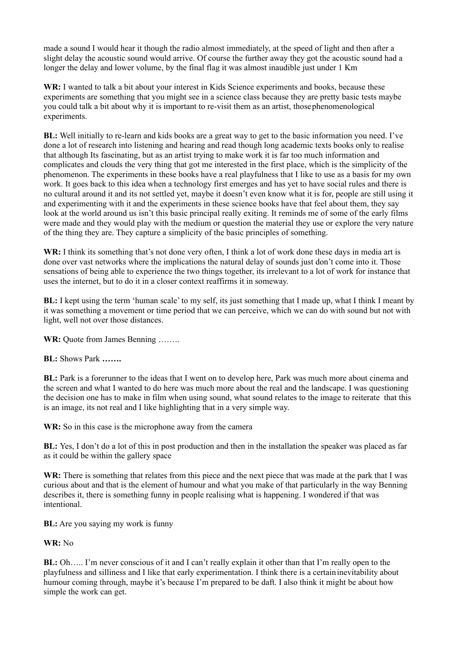made a sound I would hear it though the radio almost immediately, at the speed of light and then after a slight delay the acoustic sound would arrive. Of course the further away they got the acoustic sound had a longer the delay and lower volume, by the final flag it was almost inaudible just under 1 Km

**WR:** I wanted to talk a bit about your interest in Kids Science experiments and books, because these experiments are something that you might see in a science class because they are pretty basic tests maybe you could talk a bit about why it is important to re-visit them as an artist, those phenomenological experiments.

**BL:** Well initially to re-learn and kids books are a great way to get to the basic information you need. I've done a lot of research into listening and hearing and read though long academic texts books only to realise that although Its fascinating, but as an artist trying to make work it is far too much information and complicates and clouds the very thing that got me interested in the first place, which is the simplicity of the phenomenon. The experiments in these books have a real playfulness that I like to use as a basis for my own work. It goes back to this idea when a technology first emerges and has yet to have social rules and there is no cultural around it and its not settled yet, maybe it doesn't even know what it is for, people are still using it and experimenting with it and the experiments in these science books have that feel about them, they say look at the world around us isn't this basic principal really exiting. It reminds me of some of the early films were made and they would play with the medium or question the material they use or explore the very nature of the thing they are. They capture a simplicity of the basic principles of something.

**WR:** I think its something that's not done very often, I think a lot of work done these days in media art is done over vast networks where the implications the natural delay of sounds just don't come into it. Those sensations of being able to experience the two things together, its irrelevant to a lot of work for instance that uses the internet, but to do it in a closer context reaffirms it in someway.

**BL:** I kept using the term 'human scale' to my self, its just something that I made up, what I think I meant by it was something a movement or time period that we can perceive, which we can do with sound but not with light, well not over those distances.

**WR:** Quote from James Benning ……..

**BL:** Shows Park **…….**

**BL:** Park is a forerunner to the ideas that I went on to develop here, Park was much more about cinema and the screen and what I wanted to do here was much more about the real and the landscape. I was questioning the decision one has to make in film when using sound, what sound relates to the image to reiterate that this is an image, its not real and I like highlighting that in a very simple way.

**WR:** So in this case is the microphone away from the camera

**BL:** Yes, I don't do a lot of this in post production and then in the installation the speaker was placed as far as it could be within the gallery space

**WR:** There is something that relates from this piece and the next piece that was made at the park that I was curious about and that is the element of humour and what you make of that particularly in the way Benning describes it, there is something funny in people realising what is happening. I wondered if that was intentional.

**BL:** Are you saying my work is funny

**WR:** No

**BL:** Oh….. I'm never conscious of it and I can't really explain it other than that I'm really open to the playfulness and silliness and I like that early experimentation. I think there is a certain inevitability about humour coming through, maybe it's because I'm prepared to be daft. I also think it might be about how simple the work can get.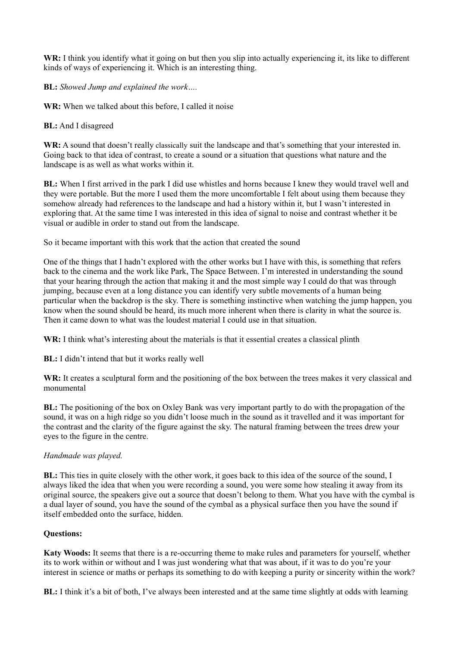**WR:** I think you identify what it going on but then you slip into actually experiencing it, its like to different kinds of ways of experiencing it. Which is an interesting thing.

**BL:** *Showed Jump and explained the work….*

**WR:** When we talked about this before, I called it noise

**BL:** And I disagreed

WR: A sound that doesn't really classically suit the landscape and that's something that your interested in. Going back to that idea of contrast, to create a sound or a situation that questions what nature and the landscape is as well as what works within it.

**BL:** When I first arrived in the park I did use whistles and horns because I knew they would travel well and they were portable. But the more I used them the more uncomfortable I felt about using them because they somehow already had references to the landscape and had a history within it, but I wasn't interested in exploring that. At the same time I was interested in this idea of signal to noise and contrast whether it be visual or audible in order to stand out from the landscape.

So it became important with this work that the action that created the sound

One of the things that I hadn't explored with the other works but I have with this, is something that refers back to the cinema and the work like Park, The Space Between. I'm interested in understanding the sound that your hearing through the action that making it and the most simple way I could do that was through jumping, because even at a long distance you can identify very subtle movements of a human being particular when the backdrop is the sky. There is something instinctive when watching the jump happen, you know when the sound should be heard, its much more inherent when there is clarity in what the source is. Then it came down to what was the loudest material I could use in that situation.

**WR:** I think what's interesting about the materials is that it essential creates a classical plinth

**BL:** I didn't intend that but it works really well

**WR:** It creates a sculptural form and the positioning of the box between the trees makes it very classical and monumental

**BL:** The positioning of the box on Oxley Bank was very important partly to do with the propagation of the sound, it was on a high ridge so you didn't loose much in the sound as it travelled and it was important for the contrast and the clarity of the figure against the sky. The natural framing between the trees drew your eyes to the figure in the centre.

## *Handmade was played.*

**BL:** This ties in quite closely with the other work, it goes back to this idea of the source of the sound, I always liked the idea that when you were recording a sound, you were some how stealing it away from its original source, the speakers give out a source that doesn't belong to them. What you have with the cymbal is a dual layer of sound, you have the sound of the cymbal as a physical surface then you have the sound if itself embedded onto the surface, hidden.

## **Questions:**

**Katy Woods:** It seems that there is a re-occurring theme to make rules and parameters for yourself, whether its to work within or without and I was just wondering what that was about, if it was to do you're your interest in science or maths or perhaps its something to do with keeping a purity or sincerity within the work?

**BL:** I think it's a bit of both, I've always been interested and at the same time slightly at odds with learning